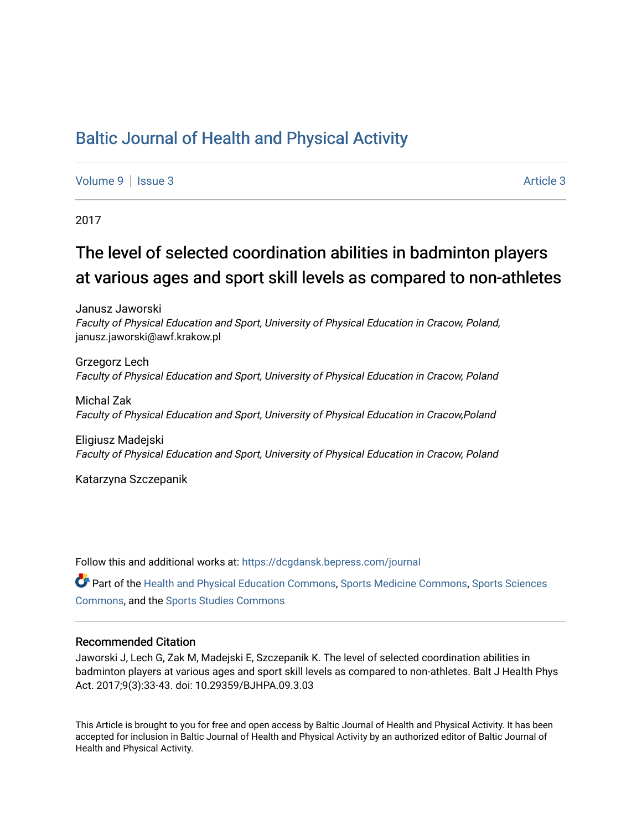## [Baltic Journal of Health and Physical Activity](https://dcgdansk.bepress.com/journal)

[Volume 9](https://dcgdansk.bepress.com/journal/vol9) | [Issue 3](https://dcgdansk.bepress.com/journal/vol9/iss3) Article 3

2017

# The level of selected coordination abilities in badminton players at various ages and sport skill levels as compared to non-athletes

Janusz Jaworski Faculty of Physical Education and Sport, University of Physical Education in Cracow, Poland, janusz.jaworski@awf.krakow.pl

Grzegorz Lech Faculty of Physical Education and Sport, University of Physical Education in Cracow, Poland

Michal Zak Faculty of Physical Education and Sport, University of Physical Education in Cracow,Poland

Eligiusz Madejski Faculty of Physical Education and Sport, University of Physical Education in Cracow, Poland

Katarzyna Szczepanik

Follow this and additional works at: [https://dcgdansk.bepress.com/journal](https://dcgdansk.bepress.com/journal?utm_source=dcgdansk.bepress.com%2Fjournal%2Fvol9%2Fiss3%2F3&utm_medium=PDF&utm_campaign=PDFCoverPages)

Part of the [Health and Physical Education Commons](http://network.bepress.com/hgg/discipline/1327?utm_source=dcgdansk.bepress.com%2Fjournal%2Fvol9%2Fiss3%2F3&utm_medium=PDF&utm_campaign=PDFCoverPages), [Sports Medicine Commons,](http://network.bepress.com/hgg/discipline/1331?utm_source=dcgdansk.bepress.com%2Fjournal%2Fvol9%2Fiss3%2F3&utm_medium=PDF&utm_campaign=PDFCoverPages) [Sports Sciences](http://network.bepress.com/hgg/discipline/759?utm_source=dcgdansk.bepress.com%2Fjournal%2Fvol9%2Fiss3%2F3&utm_medium=PDF&utm_campaign=PDFCoverPages) [Commons](http://network.bepress.com/hgg/discipline/759?utm_source=dcgdansk.bepress.com%2Fjournal%2Fvol9%2Fiss3%2F3&utm_medium=PDF&utm_campaign=PDFCoverPages), and the [Sports Studies Commons](http://network.bepress.com/hgg/discipline/1198?utm_source=dcgdansk.bepress.com%2Fjournal%2Fvol9%2Fiss3%2F3&utm_medium=PDF&utm_campaign=PDFCoverPages) 

#### Recommended Citation

Jaworski J, Lech G, Zak M, Madejski E, Szczepanik K. The level of selected coordination abilities in badminton players at various ages and sport skill levels as compared to non-athletes. Balt J Health Phys Act. 2017;9(3):33-43. doi: 10.29359/BJHPA.09.3.03

This Article is brought to you for free and open access by Baltic Journal of Health and Physical Activity. It has been accepted for inclusion in Baltic Journal of Health and Physical Activity by an authorized editor of Baltic Journal of Health and Physical Activity.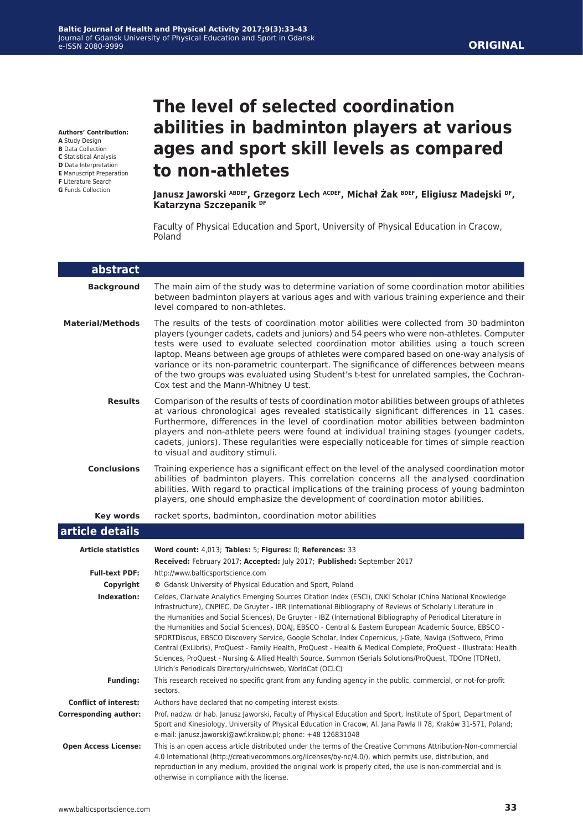**Authors' Contribution:**

**A** Study Design

- **B** Data Collection **C** Statistical Analysis
- **D** Data Interpretation
- **E** Manuscript Preparation
- **F** Literature Search
- **G** Funds Collection

# **The level of selected coordination abilities in badminton players at various ages and sport skill levels as compared to non-athletes**

**Janusz Jaworski ABDEF, Grzegorz Lech ACDEF, Michał Żak BDEF, Eligiusz Madejski DF, Katarzyna Szczepanik DF**

Faculty of Physical Education and Sport, University of Physical Education in Cracow, Poland

| abstract                     |                                                                                                                                                                                                                                                                                                                                                                                                                                                                                                                                                                                                                                                                                                                                                                                                                                                               |
|------------------------------|---------------------------------------------------------------------------------------------------------------------------------------------------------------------------------------------------------------------------------------------------------------------------------------------------------------------------------------------------------------------------------------------------------------------------------------------------------------------------------------------------------------------------------------------------------------------------------------------------------------------------------------------------------------------------------------------------------------------------------------------------------------------------------------------------------------------------------------------------------------|
| <b>Background</b>            | The main aim of the study was to determine variation of some coordination motor abilities<br>between badminton players at various ages and with various training experience and their<br>level compared to non-athletes.                                                                                                                                                                                                                                                                                                                                                                                                                                                                                                                                                                                                                                      |
| <b>Material/Methods</b>      | The results of the tests of coordination motor abilities were collected from 30 badminton<br>players (younger cadets, cadets and juniors) and 54 peers who were non-athletes. Computer<br>tests were used to evaluate selected coordination motor abilities using a touch screen<br>laptop. Means between age groups of athletes were compared based on one-way analysis of<br>variance or its non-parametric counterpart. The significance of differences between means<br>of the two groups was evaluated using Student's t-test for unrelated samples, the Cochran-<br>Cox test and the Mann-Whitney U test.                                                                                                                                                                                                                                               |
| <b>Results</b>               | Comparison of the results of tests of coordination motor abilities between groups of athletes<br>at various chronological ages revealed statistically significant differences in 11 cases.<br>Furthermore, differences in the level of coordination motor abilities between badminton<br>players and non-athlete peers were found at individual training stages (younger cadets,<br>cadets, juniors). These regularities were especially noticeable for times of simple reaction<br>to visual and auditory stimuli.                                                                                                                                                                                                                                                                                                                                           |
| <b>Conclusions</b>           | Training experience has a significant effect on the level of the analysed coordination motor<br>abilities of badminton players. This correlation concerns all the analysed coordination<br>abilities. With regard to practical implications of the training process of young badminton<br>players, one should emphasize the development of coordination motor abilities.                                                                                                                                                                                                                                                                                                                                                                                                                                                                                      |
| <b>Key words</b>             | racket sports, badminton, coordination motor abilities                                                                                                                                                                                                                                                                                                                                                                                                                                                                                                                                                                                                                                                                                                                                                                                                        |
| article details              |                                                                                                                                                                                                                                                                                                                                                                                                                                                                                                                                                                                                                                                                                                                                                                                                                                                               |
| <b>Article statistics</b>    | Word count: 4,013; Tables: 5; Figures: 0; References: 33                                                                                                                                                                                                                                                                                                                                                                                                                                                                                                                                                                                                                                                                                                                                                                                                      |
|                              | Received: February 2017; Accepted: July 2017; Published: September 2017                                                                                                                                                                                                                                                                                                                                                                                                                                                                                                                                                                                                                                                                                                                                                                                       |
| <b>Full-text PDF:</b>        | http://www.balticsportscience.com                                                                                                                                                                                                                                                                                                                                                                                                                                                                                                                                                                                                                                                                                                                                                                                                                             |
| Copyright                    | © Gdansk University of Physical Education and Sport, Poland                                                                                                                                                                                                                                                                                                                                                                                                                                                                                                                                                                                                                                                                                                                                                                                                   |
| Indexation:                  | Celdes, Clarivate Analytics Emerging Sources Citation Index (ESCI), CNKI Scholar (China National Knowledge<br>Infrastructure), CNPIEC, De Gruyter - IBR (International Bibliography of Reviews of Scholarly Literature in<br>the Humanities and Social Sciences), De Gruyter - IBZ (International Bibliography of Periodical Literature in<br>the Humanities and Social Sciences), DOAJ, EBSCO - Central & Eastern European Academic Source, EBSCO -<br>SPORTDiscus, EBSCO Discovery Service, Google Scholar, Index Copernicus, J-Gate, Naviga (Softweco, Primo<br>Central (ExLibris), ProQuest - Family Health, ProQuest - Health & Medical Complete, ProQuest - Illustrata: Health<br>Sciences, ProQuest - Nursing & Allied Health Source, Summon (Serials Solutions/ProQuest, TDOne (TDNet),<br>Ulrich's Periodicals Directory/ulrichsweb, WorldCat (OCLC) |
| <b>Funding:</b>              | This research received no specific grant from any funding agency in the public, commercial, or not-for-profit<br>sectors.                                                                                                                                                                                                                                                                                                                                                                                                                                                                                                                                                                                                                                                                                                                                     |
| <b>Conflict of interest:</b> | Authors have declared that no competing interest exists.                                                                                                                                                                                                                                                                                                                                                                                                                                                                                                                                                                                                                                                                                                                                                                                                      |
| <b>Corresponding author:</b> | Prof. nadzw. dr hab. Janusz Jaworski, Faculty of Physical Education and Sport, Institute of Sport, Department of<br>Sport and Kinesiology, University of Physical Education in Cracow, Al. Jana Pawła II 78, Kraków 31-571, Poland;<br>e-mail: janusz.jaworski@awf.krakow.pl; phone: +48 126831048                                                                                                                                                                                                                                                                                                                                                                                                                                                                                                                                                            |
| <b>Open Access License:</b>  | This is an open access article distributed under the terms of the Creative Commons Attribution-Non-commercial<br>4.0 International (http://creativecommons.org/licenses/by-nc/4.0/), which permits use, distribution, and<br>reproduction in any medium, provided the original work is properly cited, the use is non-commercial and is<br>otherwise in compliance with the license.                                                                                                                                                                                                                                                                                                                                                                                                                                                                          |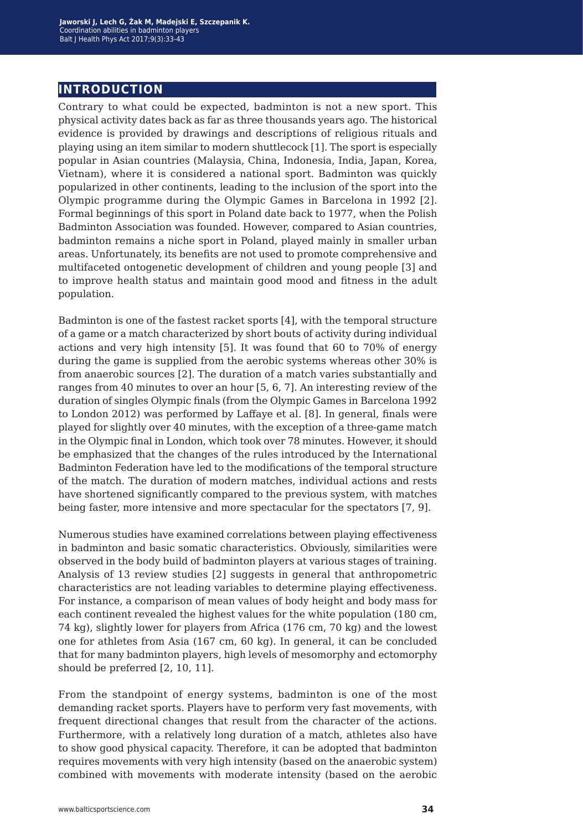### **introduction**

Contrary to what could be expected, badminton is not a new sport. This physical activity dates back as far as three thousands years ago. The historical evidence is provided by drawings and descriptions of religious rituals and playing using an item similar to modern shuttlecock [1]. The sport is especially popular in Asian countries (Malaysia, China, Indonesia, India, Japan, Korea, Vietnam), where it is considered a national sport. Badminton was quickly popularized in other continents, leading to the inclusion of the sport into the Olympic programme during the Olympic Games in Barcelona in 1992 [2]. Formal beginnings of this sport in Poland date back to 1977, when the Polish Badminton Association was founded. However, compared to Asian countries, badminton remains a niche sport in Poland, played mainly in smaller urban areas. Unfortunately, its benefits are not used to promote comprehensive and multifaceted ontogenetic development of children and young people [3] and to improve health status and maintain good mood and fitness in the adult population.

Badminton is one of the fastest racket sports [4], with the temporal structure of a game or a match characterized by short bouts of activity during individual actions and very high intensity [5]. It was found that 60 to 70% of energy during the game is supplied from the aerobic systems whereas other 30% is from anaerobic sources [2]. The duration of a match varies substantially and ranges from 40 minutes to over an hour [5, 6, 7]. An interesting review of the duration of singles Olympic finals (from the Olympic Games in Barcelona 1992 to London 2012) was performed by Laffaye et al. [8]. In general, finals were played for slightly over 40 minutes, with the exception of a three-game match in the Olympic final in London, which took over 78 minutes. However, it should be emphasized that the changes of the rules introduced by the International Badminton Federation have led to the modifications of the temporal structure of the match. The duration of modern matches, individual actions and rests have shortened significantly compared to the previous system, with matches being faster, more intensive and more spectacular for the spectators [7, 9].

Numerous studies have examined correlations between playing effectiveness in badminton and basic somatic characteristics. Obviously, similarities were observed in the body build of badminton players at various stages of training. Analysis of 13 review studies [2] suggests in general that anthropometric characteristics are not leading variables to determine playing effectiveness. For instance, a comparison of mean values of body height and body mass for each continent revealed the highest values for the white population (180 cm, 74 kg), slightly lower for players from Africa (176 cm, 70 kg) and the lowest one for athletes from Asia (167 cm, 60 kg). In general, it can be concluded that for many badminton players, high levels of mesomorphy and ectomorphy should be preferred [2, 10, 11].

From the standpoint of energy systems, badminton is one of the most demanding racket sports. Players have to perform very fast movements, with frequent directional changes that result from the character of the actions. Furthermore, with a relatively long duration of a match, athletes also have to show good physical capacity. Therefore, it can be adopted that badminton requires movements with very high intensity (based on the anaerobic system) combined with movements with moderate intensity (based on the aerobic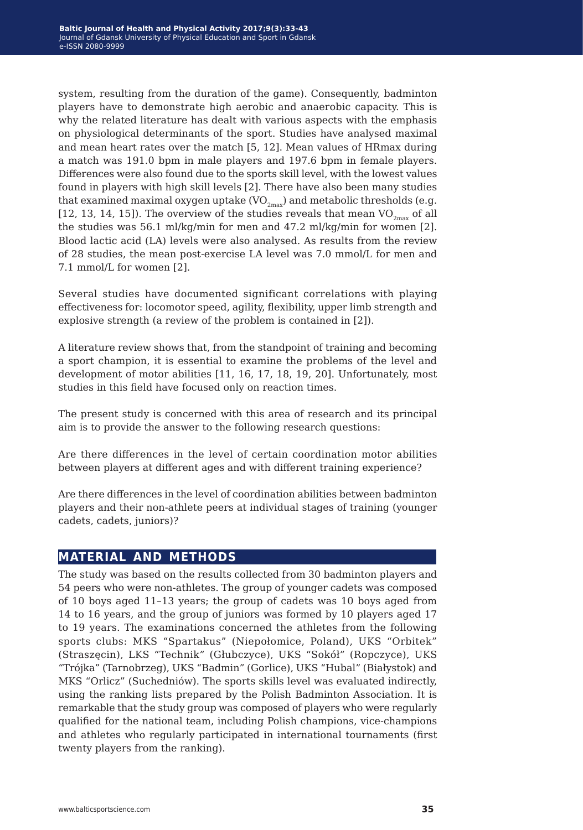system, resulting from the duration of the game). Consequently, badminton players have to demonstrate high aerobic and anaerobic capacity. This is why the related literature has dealt with various aspects with the emphasis on physiological determinants of the sport. Studies have analysed maximal and mean heart rates over the match [5, 12]. Mean values of HRmax during a match was 191.0 bpm in male players and 197.6 bpm in female players. Differences were also found due to the sports skill level, with the lowest values found in players with high skill levels [2]. There have also been many studies that examined maximal oxygen uptake  $(VO_{2max})$  and metabolic thresholds (e.g. [12, 13, 14, 15]). The overview of the studies reveals that mean  $VO_{2<sub>max</sub>}$  of all the studies was 56.1 ml/kg/min for men and 47.2 ml/kg/min for women [2]. Blood lactic acid (LA) levels were also analysed. As results from the review of 28 studies, the mean post-exercise LA level was 7.0 mmol/L for men and 7.1 mmol/L for women [2].

Several studies have documented significant correlations with playing effectiveness for: locomotor speed, agility, flexibility, upper limb strength and explosive strength (a review of the problem is contained in [2]).

A literature review shows that, from the standpoint of training and becoming a sport champion, it is essential to examine the problems of the level and development of motor abilities [11, 16, 17, 18, 19, 20]. Unfortunately, most studies in this field have focused only on reaction times.

The present study is concerned with this area of research and its principal aim is to provide the answer to the following research questions:

Are there differences in the level of certain coordination motor abilities between players at different ages and with different training experience?

Are there differences in the level of coordination abilities between badminton players and their non-athlete peers at individual stages of training (younger cadets, cadets, juniors)?

### **material and methods**

The study was based on the results collected from 30 badminton players and 54 peers who were non-athletes. The group of younger cadets was composed of 10 boys aged 11–13 years; the group of cadets was 10 boys aged from 14 to 16 years, and the group of juniors was formed by 10 players aged 17 to 19 years. The examinations concerned the athletes from the following sports clubs: MKS "Spartakus" (Niepołomice, Poland), UKS "Orbitek" (Straszęcin), LKS "Technik" (Głubczyce), UKS "Sokół" (Ropczyce), UKS "Trójka" (Tarnobrzeg), UKS "Badmin" (Gorlice), UKS "Hubal" (Białystok) and MKS "Orlicz" (Suchedniów). The sports skills level was evaluated indirectly, using the ranking lists prepared by the Polish Badminton Association. It is remarkable that the study group was composed of players who were regularly qualified for the national team, including Polish champions, vice-champions and athletes who regularly participated in international tournaments (first twenty players from the ranking).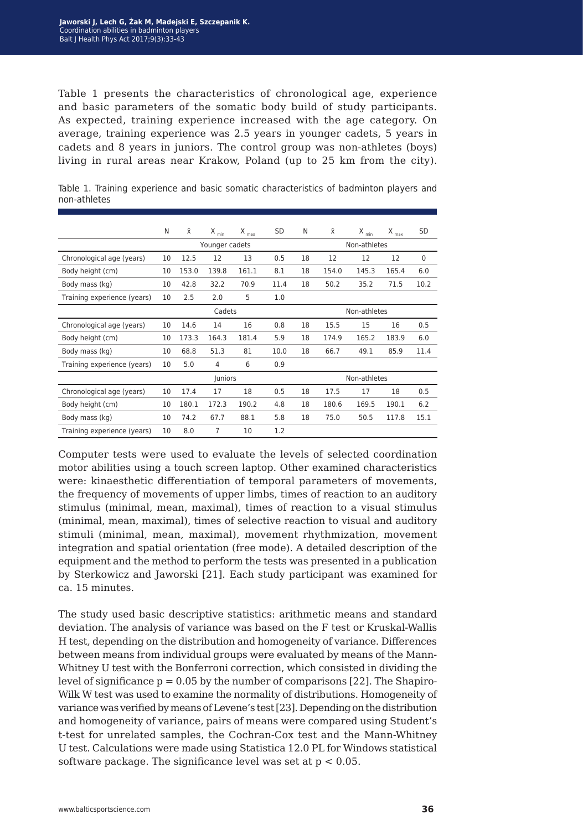Table 1 presents the characteristics of chronological age, experience and basic parameters of the somatic body build of study participants. As expected, training experience increased with the age category. On average, training experience was 2.5 years in younger cadets, 5 years in cadets and 8 years in juniors. The control group was non-athletes (boys) living in rural areas near Krakow, Poland (up to 25 km from the city).

|                             | N      | Χī             | $X_{min}$ | $X_{\text{max}}$ | SD           | N  | Χī           | $X_{min}$ | $X_{max}$ | <b>SD</b>   |
|-----------------------------|--------|----------------|-----------|------------------|--------------|----|--------------|-----------|-----------|-------------|
|                             |        | Younger cadets |           |                  | Non-athletes |    |              |           |           |             |
| Chronological age (years)   | 10     | 12.5           | 12        | 13               | 0.5          | 18 | 12           | 12        | 12        | $\mathbf 0$ |
| Body height (cm)            | 10     | 153.0          | 139.8     | 161.1            | 8.1          | 18 | 154.0        | 145.3     | 165.4     | 6.0         |
| Body mass (kg)              | 10     | 42.8           | 32.2      | 70.9             | 11.4         | 18 | 50.2         | 35.2      | 71.5      | 10.2        |
| Training experience (years) | 10     | 2.5            | 2.0       | 5                | 1.0          |    |              |           |           |             |
|                             | Cadets |                |           |                  | Non-athletes |    |              |           |           |             |
| Chronological age (years)   | 10     | 14.6           | 14        | 16               | 0.8          | 18 | 15.5         | 15        | 16        | 0.5         |
| Body height (cm)            | 10     | 173.3          | 164.3     | 181.4            | 5.9          | 18 | 174.9        | 165.2     | 183.9     | 6.0         |
| Body mass (kg)              | 10     | 68.8           | 51.3      | 81               | 10.0         | 18 | 66.7         | 49.1      | 85.9      | 11.4        |
| Training experience (years) | 10     | 5.0            | 4         | 6                | 0.9          |    |              |           |           |             |
|                             |        | Juniors        |           |                  |              |    | Non-athletes |           |           |             |
| Chronological age (years)   | 10     | 17.4           | 17        | 18               | 0.5          | 18 | 17.5         | 17        | 18        | 0.5         |
| Body height (cm)            | 10     | 180.1          | 172.3     | 190.2            | 4.8          | 18 | 180.6        | 169.5     | 190.1     | 6.2         |
| Body mass (kg)              | 10     | 74.2           | 67.7      | 88.1             | 5.8          | 18 | 75.0         | 50.5      | 117.8     | 15.1        |
| Training experience (years) | 10     | 8.0            | 7         | 10               | 1.2          |    |              |           |           |             |

Table 1. Training experience and basic somatic characteristics of badminton players and non-athletes

Computer tests were used to evaluate the levels of selected coordination motor abilities using a touch screen laptop. Other examined characteristics were: kinaesthetic differentiation of temporal parameters of movements, the frequency of movements of upper limbs, times of reaction to an auditory stimulus (minimal, mean, maximal), times of reaction to a visual stimulus (minimal, mean, maximal), times of selective reaction to visual and auditory stimuli (minimal, mean, maximal), movement rhythmization, movement integration and spatial orientation (free mode). A detailed description of the equipment and the method to perform the tests was presented in a publication by Sterkowicz and Jaworski [21]. Each study participant was examined for ca. 15 minutes.

The study used basic descriptive statistics: arithmetic means and standard deviation. The analysis of variance was based on the F test or Kruskal-Wallis H test, depending on the distribution and homogeneity of variance. Differences between means from individual groups were evaluated by means of the Mann-Whitney U test with the Bonferroni correction, which consisted in dividing the level of significance  $p = 0.05$  by the number of comparisons [22]. The Shapiro-Wilk W test was used to examine the normality of distributions. Homogeneity of variance was verified by means of Levene's test [23]. Depending on the distribution and homogeneity of variance, pairs of means were compared using Student's t-test for unrelated samples, the Cochran-Cox test and the Mann-Whitney U test. Calculations were made using Statistica 12.0 PL for Windows statistical software package. The significance level was set at  $p < 0.05$ .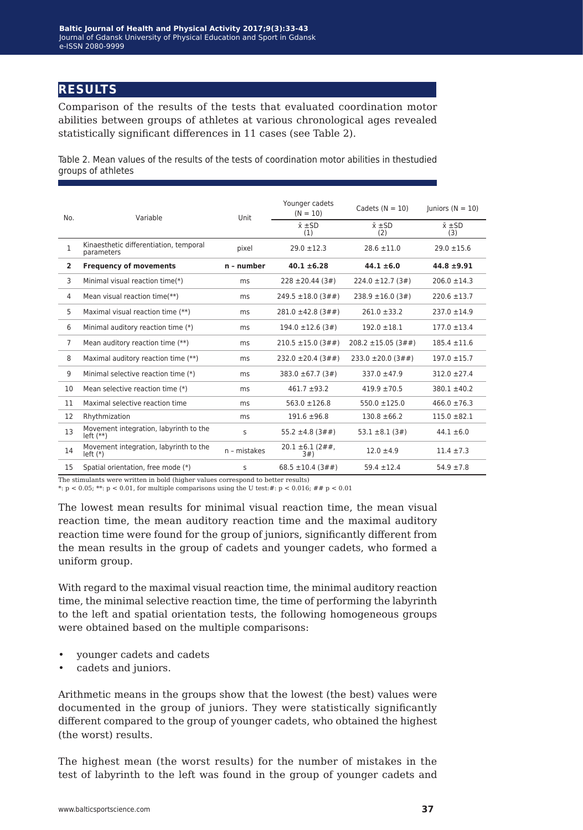### **results**

Comparison of the results of the tests that evaluated coordination motor abilities between groups of athletes at various chronological ages revealed statistically significant differences in 11 cases (see Table 2).

Table 2. Mean values of the results of the tests of coordination motor abilities in thestudied groups of athletes

| No.            | Variable                                             | Unit         | Younger cadets<br>$(N = 10)$  | Cadets $(N = 10)$           | luniors $(N = 10)$        |  |
|----------------|------------------------------------------------------|--------------|-------------------------------|-----------------------------|---------------------------|--|
|                |                                                      |              | $\bar{x}$ $\pm$ SD<br>(1)     | $\bar{x}$ $\pm$ SD<br>(2)   | $\bar{x}$ $\pm$ SD<br>(3) |  |
| $\mathbf{1}$   | Kinaesthetic differentiation, temporal<br>parameters | pixel        | $29.0 \pm 12.3$               | $28.6 \pm 11.0$             | $29.0 \pm 15.6$           |  |
| $\overline{2}$ | <b>Frequency of movements</b>                        | n - number   | $40.1 \pm 6.28$               | $44.1 \pm 6.0$              | $44.8 \pm 9.91$           |  |
| 3              | Minimal visual reaction time(*)                      | ms           | $228 \pm 20.44$ (3#)          | $224.0 \pm 12.7(3\#)$       | $206.0 \pm 14.3$          |  |
| 4              | Mean visual reaction time(**)                        | ms           | $249.5 \pm 18.0 (3 \# \#)$    | $238.9 \pm 16.0(3\#)$       | $220.6 \pm 13.7$          |  |
| 5              | Maximal visual reaction time (**)                    | ms           | $281.0 \pm 42.8$ (3##)        | $261.0 \pm 33.2$            | $237.0 \pm 14.9$          |  |
| 6              | Minimal auditory reaction time (*)                   | ms           | $194.0 \pm 12.6$ (3#)         | $192.0 \pm 18.1$            | $177.0 \pm 13.4$          |  |
| $\overline{7}$ | Mean auditory reaction time (**)                     | ms           | $210.5 \pm 15.0 (3 \# \#)$    | $208.2 \pm 15.05 (3 \# \#)$ | $185.4 \pm 11.6$          |  |
| 8              | Maximal auditory reaction time (**)                  | ms           | $232.0 \pm 20.4 (3 \# \#)$    | $233.0 \pm 20.0 (3 \# \#)$  | $197.0 \pm 15.7$          |  |
| 9              | Minimal selective reaction time (*)                  | ms           | 383.0 ±67.7 (3#)              | $337.0 + 47.9$              | $312.0 \pm 27.4$          |  |
| 10             | Mean selective reaction time (*)                     | ms           | $461.7 + 93.2$                | $419.9 + 70.5$              | $380.1 \pm 40.2$          |  |
| 11             | Maximal selective reaction time                      | ms           | $563.0 \pm 126.8$             | $550.0 \pm 125.0$           | $466.0 \pm 76.3$          |  |
| 12             | Rhythmization                                        | ms           | $191.6 \pm 96.8$              | $130.8 \pm 66.2$            | $115.0 \pm 82.1$          |  |
| 13             | Movement integration, labyrinth to the<br>$left(**)$ | S            | 55.2 $\pm$ 4.8 (3##)          | $53.1 \pm 8.1 (3#)$         | $44.1 \pm 6.0$            |  |
| 14             | Movement integration, labyrinth to the<br>$left(*)$  | n - mistakes | $20.1 \pm 6.1 (2 \# 4)$<br>3# | $12.0 \pm 4.9$              | $11.4 \pm 7.3$            |  |
| 15             | Spatial orientation, free mode (*)                   | S            | 68.5 $\pm$ 10.4 (3##)         | $59.4 \pm 12.4$             | $54.9 \pm 7.8$            |  |

The stimulants were written in bold (higher values correspond to better results)

\*:  $p < 0.05$ ; \*\*:  $p < 0.01$ , for multiple comparisons using the U test: #:  $p < 0.016$ ; ##  $p < 0.01$ 

The lowest mean results for minimal visual reaction time, the mean visual reaction time, the mean auditory reaction time and the maximal auditory reaction time were found for the group of juniors, significantly different from the mean results in the group of cadets and younger cadets, who formed a uniform group.

With regard to the maximal visual reaction time, the minimal auditory reaction time, the minimal selective reaction time, the time of performing the labyrinth to the left and spatial orientation tests, the following homogeneous groups were obtained based on the multiple comparisons:

- younger cadets and cadets
- cadets and juniors.

Arithmetic means in the groups show that the lowest (the best) values were documented in the group of juniors. They were statistically significantly different compared to the group of younger cadets, who obtained the highest (the worst) results.

The highest mean (the worst results) for the number of mistakes in the test of labyrinth to the left was found in the group of younger cadets and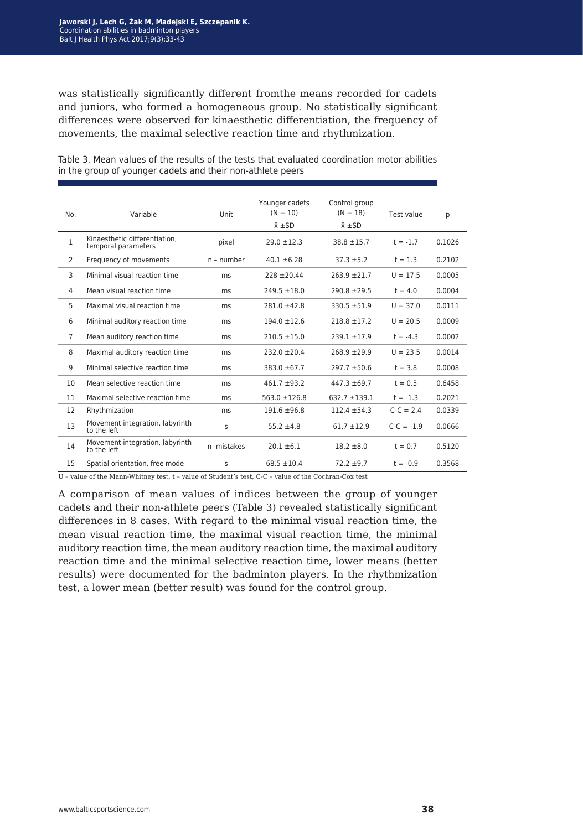was statistically significantly different fromthe means recorded for cadets and juniors, who formed a homogeneous group. No statistically significant differences were observed for kinaesthetic differentiation, the frequency of movements, the maximal selective reaction time and rhythmization.

| No.          | Variable                                             | Unit        | Younger cadets<br>$(N = 10)$<br>$\bar{x}$ $\pm$ SD | Control group<br>$(N = 18)$<br>$\bar{x}$ $\pm$ SD | Test value   | р      |
|--------------|------------------------------------------------------|-------------|----------------------------------------------------|---------------------------------------------------|--------------|--------|
| $\mathbf{1}$ | Kinaesthetic differentiation.<br>temporal parameters | pixel       | $29.0 \pm 12.3$                                    | $38.8 + 15.7$                                     | $t = -1.7$   | 0.1026 |
| 2            | Frequency of movements                               | n - number  | $40.1 \pm 6.28$                                    | $37.3 + 5.2$                                      | $t = 1.3$    | 0.2102 |
| 3            | Minimal visual reaction time                         | ms          | $228 \pm 20.44$                                    | $263.9 + 21.7$                                    | $U = 17.5$   | 0.0005 |
| 4            | Mean visual reaction time                            | ms          | $249.5 \pm 18.0$                                   | $290.8 + 29.5$                                    | $t = 4.0$    | 0.0004 |
| 5            | Maximal visual reaction time                         | ms          | $281.0 \pm 42.8$                                   | $330.5 + 51.9$                                    | $U = 37.0$   | 0.0111 |
| 6            | Minimal auditory reaction time                       | ms          | $194.0 \pm 12.6$                                   | $218.8 \pm 17.2$                                  | $U = 20.5$   | 0.0009 |
| 7            | Mean auditory reaction time                          | ms          | $210.5 \pm 15.0$                                   | $239.1 \pm 17.9$                                  | $t = -4.3$   | 0.0002 |
| 8            | Maximal auditory reaction time                       | ms          | $232.0 \pm 20.4$                                   | $268.9 + 29.9$                                    | $U = 23.5$   | 0.0014 |
| 9            | Minimal selective reaction time                      | ms          | $383.0 \pm 67.7$                                   | $297.7 \pm 50.6$                                  | $t = 3.8$    | 0.0008 |
| 10           | Mean selective reaction time                         | ms          | $461.7 + 93.2$                                     | $447.3 \pm 69.7$                                  | $t = 0.5$    | 0.6458 |
| 11           | Maximal selective reaction time                      | ms          | $563.0 \pm 126.8$                                  | $632.7 + 139.1$                                   | $t = -1.3$   | 0.2021 |
| 12           | Rhythmization                                        | ms          | $191.6 \pm 96.8$                                   | $112.4 \pm 54.3$                                  | $C-C = 2.4$  | 0.0339 |
| 13           | Movement integration, labyrinth<br>to the left       | S           | $55.2 \pm 4.8$                                     | $61.7 + 12.9$                                     | $C-C = -1.9$ | 0.0666 |
| 14           | Movement integration, labyrinth<br>to the left       | n- mistakes | $20.1 \pm 6.1$                                     | $18.2 \pm 8.0$                                    | $t = 0.7$    | 0.5120 |
| 15           | Spatial orientation, free mode                       | S           | $68.5 \pm 10.4$                                    | $72.2 \pm 9.7$                                    | $t = -0.9$   | 0.3568 |

Table 3. Mean values of the results of the tests that evaluated coordination motor abilities in the group of younger cadets and their non-athlete peers

 $U$  – value of the Mann-Whitney test,  $t$  – value of Student's test, C-C – value of the Cochran-Cox test

A comparison of mean values of indices between the group of younger cadets and their non-athlete peers (Table 3) revealed statistically significant differences in 8 cases. With regard to the minimal visual reaction time, the mean visual reaction time, the maximal visual reaction time, the minimal auditory reaction time, the mean auditory reaction time, the maximal auditory reaction time and the minimal selective reaction time, lower means (better results) were documented for the badminton players. In the rhythmization test, a lower mean (better result) was found for the control group.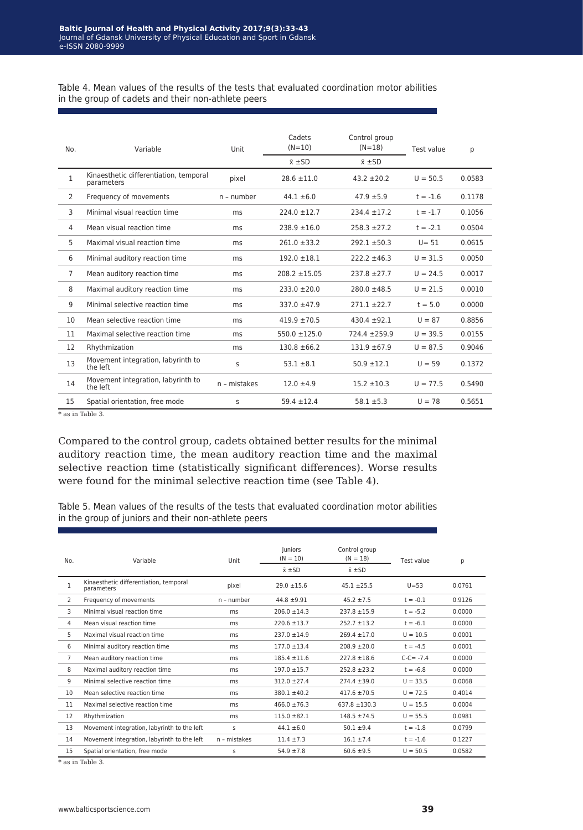Table 4. Mean values of the results of the tests that evaluated coordination motor abilities in the group of cadets and their non-athlete peers

| No.            | Variable                                             | Unit         | Cadets<br>$(N=10)$<br>$\bar{x}$ $\pm$ SD | Control group<br>$(N=18)$<br>$\bar{x}$ $\pm$ SD | Test value | p      |
|----------------|------------------------------------------------------|--------------|------------------------------------------|-------------------------------------------------|------------|--------|
| 1              | Kinaesthetic differentiation, temporal<br>parameters | pixel        | $28.6 \pm 11.0$                          | $43.2 \pm 20.2$                                 | $U = 50.5$ | 0.0583 |
| $\overline{2}$ | Frequency of movements                               | $n$ - number | $44.1 \pm 6.0$                           | $47.9 \pm 5.9$                                  | $t = -1.6$ | 0.1178 |
| 3              | Minimal visual reaction time                         | ms           | $224.0 \pm 12.7$                         | $234.4 \pm 17.2$                                | $t = -1.7$ | 0.1056 |
| 4              | Mean visual reaction time                            | ms           | $238.9 \pm 16.0$                         | $258.3 + 27.2$                                  | $t = -2.1$ | 0.0504 |
| 5              | Maximal visual reaction time                         | ms           | $261.0 \pm 33.2$                         | $292.1 \pm 50.3$                                | $U = 51$   | 0.0615 |
| 6              | Minimal auditory reaction time                       | ms           | $192.0 \pm 18.1$                         | $222.2 \pm 46.3$                                | $U = 31.5$ | 0.0050 |
| $\overline{7}$ | Mean auditory reaction time                          | ms           | $208.2 \pm 15.05$                        | $237.8 \pm 27.7$                                | $U = 24.5$ | 0.0017 |
| 8              | Maximal auditory reaction time                       | ms           | $233.0 \pm 20.0$                         | $280.0 \pm 48.5$                                | $U = 21.5$ | 0.0010 |
| 9              | Minimal selective reaction time                      | ms           | $337.0 + 47.9$                           | $271.1 \pm 22.7$                                | $t = 5.0$  | 0.0000 |
| 10             | Mean selective reaction time                         | ms           | $419.9 \pm 70.5$                         | $430.4 \pm 92.1$                                | $U = 87$   | 0.8856 |
| 11             | Maximal selective reaction time                      | ms           | $550.0 \pm 125.0$                        | $724.4 + 259.9$                                 | $U = 39.5$ | 0.0155 |
| 12             | Rhythmization                                        | ms           | $130.8 \pm 66.2$                         | $131.9 + 67.9$                                  | $U = 87.5$ | 0.9046 |
| 13             | Movement integration, labyrinth to<br>the left       | S            | $53.1 \pm 8.1$                           | $50.9 \pm 12.1$                                 | $U = 59$   | 0.1372 |
| 14             | Movement integration, labyrinth to<br>the left       | n - mistakes | $12.0 \pm 4.9$                           | $15.2 \pm 10.3$                                 | $U = 77.5$ | 0.5490 |
| 15             | Spatial orientation, free mode                       | S            | $59.4 \pm 12.4$                          | $58.1 \pm 5.3$                                  | $U = 78$   | 0.5651 |

\* as in Table 3.

Compared to the control group, cadets obtained better results for the minimal auditory reaction time, the mean auditory reaction time and the maximal selective reaction time (statistically significant differences). Worse results were found for the minimal selective reaction time (see Table 4).

Table 5. Mean values of the results of the tests that evaluated coordination motor abilities in the group of juniors and their non-athlete peers

| No.            | Variable                                             | Unit         | <b>Juniors</b><br>$(N = 10)$<br>$\bar{x}$ $\pm$ SD | Control group<br>$(N = 18)$<br>$\bar{x}$ $\pm$ SD | Test value   | р      |
|----------------|------------------------------------------------------|--------------|----------------------------------------------------|---------------------------------------------------|--------------|--------|
| $\mathbf{1}$   | Kinaesthetic differentiation, temporal<br>parameters | pixel        | $29.0 \pm 15.6$                                    | $45.1 + 25.5$                                     | $U = 53$     | 0.0761 |
| 2              | Frequency of movements                               | n - number   | $44.8 + 9.91$                                      | $45.2 \pm 7.5$                                    | $t = -0.1$   | 0.9126 |
| 3              | Minimal visual reaction time                         | ms           | $206.0 \pm 14.3$                                   | $237.8 + 15.9$                                    | $t = -5.2$   | 0.0000 |
| 4              | Mean visual reaction time                            | ms           | $220.6 \pm 13.7$                                   | $252.7 \pm 13.2$                                  | $t = -6.1$   | 0.0000 |
| 5              | Maximal visual reaction time                         | ms           | $237.0 \pm 14.9$                                   | $269.4 \pm 17.0$                                  | $U = 10.5$   | 0.0001 |
| 6              | Minimal auditory reaction time                       | ms           | $177.0 \pm 13.4$                                   | $208.9 \pm 20.0$                                  | $t = -4.5$   | 0.0001 |
| $\overline{7}$ | Mean auditory reaction time                          | ms           | $185.4 \pm 11.6$                                   | $227.8 \pm 18.6$                                  | $C-C = -7.4$ | 0.0000 |
| 8              | Maximal auditory reaction time                       | ms           | $197.0 + 15.7$                                     | $252.8 + 23.2$                                    | $t = -6.8$   | 0.0000 |
| 9              | Minimal selective reaction time                      | ms           | $312.0 + 27.4$                                     | $274.4 \pm 39.0$                                  | $U = 33.5$   | 0.0068 |
| 10             | Mean selective reaction time                         | ms           | $380.1 + 40.2$                                     | $417.6 \pm 70.5$                                  | $U = 72.5$   | 0.4014 |
| 11             | Maximal selective reaction time                      | ms           | $466.0 \pm 76.3$                                   | $637.8 \pm 130.3$                                 | $U = 15.5$   | 0.0004 |
| 12             | Rhythmization                                        | ms           | $115.0 + 82.1$                                     | $148.5 + 74.5$                                    | $U = 55.5$   | 0.0981 |
| 13             | Movement integration, labyrinth to the left          | $\mathsf{s}$ | $44.1 \pm 6.0$                                     | $50.1 + 9.4$                                      | $t = -1.8$   | 0.0799 |
| 14             | Movement integration, labyrinth to the left          | n - mistakes | $11.4 + 7.3$                                       | $16.1 \pm 7.4$                                    | $t = -1.6$   | 0.1227 |
| 15             | Spatial orientation, free mode                       | S            | $54.9 \pm 7.8$                                     | $60.6 \pm 9.5$                                    | $U = 50.5$   | 0.0582 |

\* as in Table 3.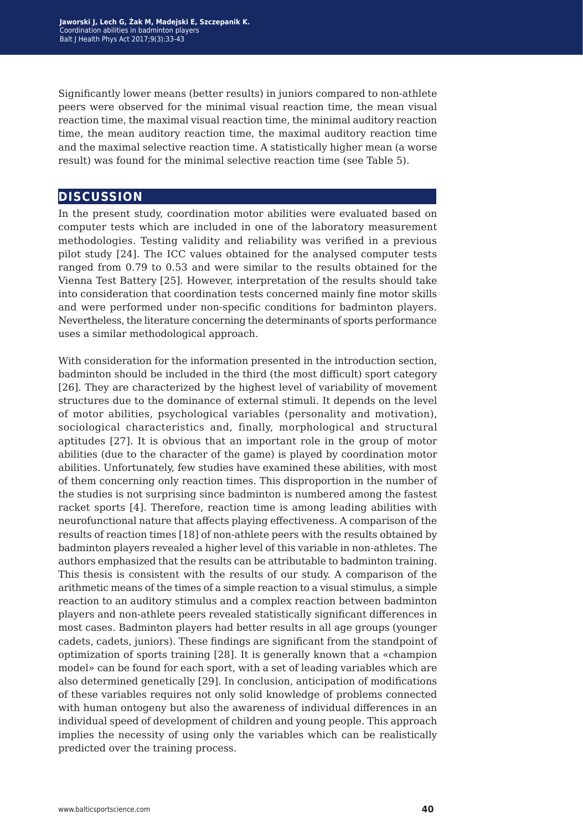Significantly lower means (better results) in juniors compared to non-athlete peers were observed for the minimal visual reaction time, the mean visual reaction time, the maximal visual reaction time, the minimal auditory reaction time, the mean auditory reaction time, the maximal auditory reaction time and the maximal selective reaction time. A statistically higher mean (a worse result) was found for the minimal selective reaction time (see Table 5).

#### **discussion**

In the present study, coordination motor abilities were evaluated based on computer tests which are included in one of the laboratory measurement methodologies. Testing validity and reliability was verified in a previous pilot study [24]. The ICC values obtained for the analysed computer tests ranged from 0.79 to 0.53 and were similar to the results obtained for the Vienna Test Battery [25]. However, interpretation of the results should take into consideration that coordination tests concerned mainly fine motor skills and were performed under non-specific conditions for badminton players. Nevertheless, the literature concerning the determinants of sports performance uses a similar methodological approach.

With consideration for the information presented in the introduction section, badminton should be included in the third (the most difficult) sport category [26]. They are characterized by the highest level of variability of movement structures due to the dominance of external stimuli. It depends on the level of motor abilities, psychological variables (personality and motivation), sociological characteristics and, finally, morphological and structural aptitudes [27]. It is obvious that an important role in the group of motor abilities (due to the character of the game) is played by coordination motor abilities. Unfortunately, few studies have examined these abilities, with most of them concerning only reaction times. This disproportion in the number of the studies is not surprising since badminton is numbered among the fastest racket sports [4]. Therefore, reaction time is among leading abilities with neurofunctional nature that affects playing effectiveness. A comparison of the results of reaction times [18] of non-athlete peers with the results obtained by badminton players revealed a higher level of this variable in non-athletes. The authors emphasized that the results can be attributable to badminton training. This thesis is consistent with the results of our study. A comparison of the arithmetic means of the times of a simple reaction to a visual stimulus, a simple reaction to an auditory stimulus and a complex reaction between badminton players and non-athlete peers revealed statistically significant differences in most cases. Badminton players had better results in all age groups (younger cadets, cadets, juniors). These findings are significant from the standpoint of optimization of sports training [28]. It is generally known that a «champion model» can be found for each sport, with a set of leading variables which are also determined genetically [29]. In conclusion, anticipation of modifications of these variables requires not only solid knowledge of problems connected with human ontogeny but also the awareness of individual differences in an individual speed of development of children and young people. This approach implies the necessity of using only the variables which can be realistically predicted over the training process.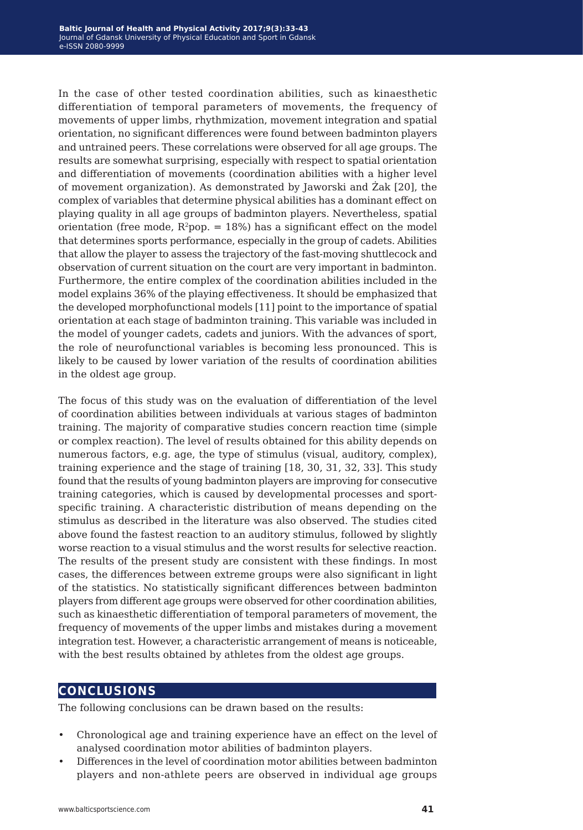In the case of other tested coordination abilities, such as kinaesthetic differentiation of temporal parameters of movements, the frequency of movements of upper limbs, rhythmization, movement integration and spatial orientation, no significant differences were found between badminton players and untrained peers. These correlations were observed for all age groups. The results are somewhat surprising, especially with respect to spatial orientation and differentiation of movements (coordination abilities with a higher level of movement organization). As demonstrated by Jaworski and Żak [20], the complex of variables that determine physical abilities has a dominant effect on playing quality in all age groups of badminton players. Nevertheless, spatial orientation (free mode,  $R^2$ pop. = 18%) has a significant effect on the model that determines sports performance, especially in the group of cadets. Abilities that allow the player to assess the trajectory of the fast-moving shuttlecock and observation of current situation on the court are very important in badminton. Furthermore, the entire complex of the coordination abilities included in the model explains 36% of the playing effectiveness. It should be emphasized that the developed morphofunctional models [11] point to the importance of spatial orientation at each stage of badminton training. This variable was included in the model of younger cadets, cadets and juniors. With the advances of sport, the role of neurofunctional variables is becoming less pronounced. This is likely to be caused by lower variation of the results of coordination abilities in the oldest age group.

The focus of this study was on the evaluation of differentiation of the level of coordination abilities between individuals at various stages of badminton training. The majority of comparative studies concern reaction time (simple or complex reaction). The level of results obtained for this ability depends on numerous factors, e.g. age, the type of stimulus (visual, auditory, complex), training experience and the stage of training [18, 30, 31, 32, 33]. This study found that the results of young badminton players are improving for consecutive training categories, which is caused by developmental processes and sportspecific training. A characteristic distribution of means depending on the stimulus as described in the literature was also observed. The studies cited above found the fastest reaction to an auditory stimulus, followed by slightly worse reaction to a visual stimulus and the worst results for selective reaction. The results of the present study are consistent with these findings. In most cases, the differences between extreme groups were also significant in light of the statistics. No statistically significant differences between badminton players from different age groups were observed for other coordination abilities, such as kinaesthetic differentiation of temporal parameters of movement, the frequency of movements of the upper limbs and mistakes during a movement integration test. However, a characteristic arrangement of means is noticeable, with the best results obtained by athletes from the oldest age groups.

### **conclusions**

The following conclusions can be drawn based on the results:

- Chronological age and training experience have an effect on the level of analysed coordination motor abilities of badminton players.
- Differences in the level of coordination motor abilities between badminton players and non-athlete peers are observed in individual age groups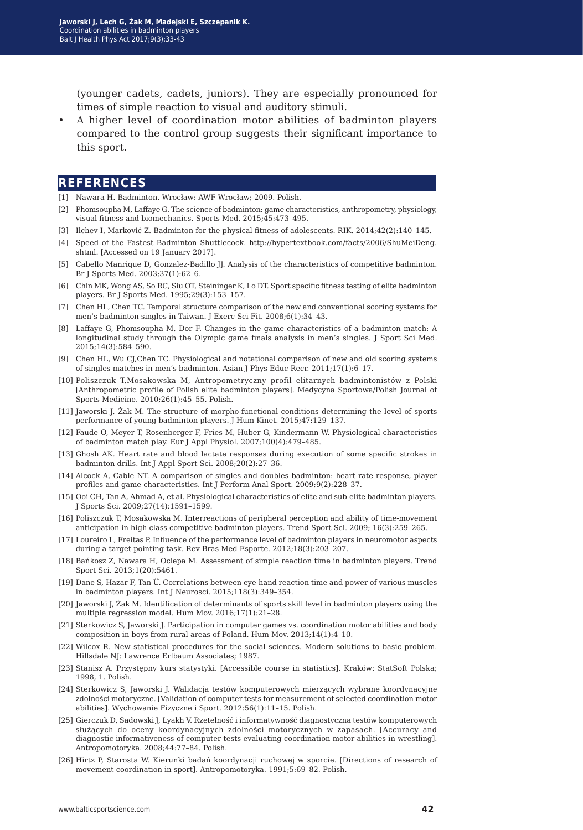(younger cadets, cadets, juniors). They are especially pronounced for times of simple reaction to visual and auditory stimuli.

• A higher level of coordination motor abilities of badminton players compared to the control group suggests their significant importance to this sport.

#### **references**

- [1] Nawara H. Badminton. Wrocław: AWF Wrocław; 2009. Polish.
- [2] Phomsoupha M, Laffaye G. The science of badminton: game characteristics, anthropometry, physiology, visual fitness and biomechanics. Sports Med. 2015;45:473–495.
- [3] Ilchev I, Markoviċ Z. Badminton for the physical fitness of adolescents. RIK. 2014;42(2):140–145.
- [4] Speed of the Fastest Badminton Shuttlecock. http://hypertextbook.com/facts/2006/ShuMeiDeng. shtml. [Accessed on 19 January 2017].
- [5] Cabello Manrique D, Gonzalez-Badillo JJ. Analysis of the characteristics of competitive badminton. Br J Sports Med. 2003;37(1):62–6.
- [6] Chin MK, Wong AS, So RC, Siu OT, Steininger K, Lo DT. Sport specific fitness testing of elite badminton players. Br J Sports Med. 1995;29(3):153–157.
- [7] Chen HL, Chen TC. Temporal structure comparison of the new and conventional scoring systems for men's badminton singles in Taiwan. J Exerc Sci Fit. 2008;6(1):34–43.
- [8] Laffaye G, Phomsoupha M, Dor F. Changes in the game characteristics of a badminton match: A longitudinal study through the Olympic game finals analysis in men's singles. J Sport Sci Med. 2015;14(3):584–590.
- [9] Chen HL, Wu CJ,Chen TC. Physiological and notational comparison of new and old scoring systems of singles matches in men's badminton. Asian J Phys Educ Recr. 2011;17(1):6–17.
- [10] Poliszczuk T,Mosakowska M, Antropometryczny profil elitarnych badmintonistów z Polski [Anthropometric profile of Polish elite badminton players]. Medycyna Sportowa/Polish Journal of Sports Medicine. 2010;26(1):45–55. Polish.
- [11] Jaworski J, Żak M. The structure of morpho-functional conditions determining the level of sports performance of young badminton players. J Hum Kinet. 2015;47:129–137.
- [12] Faude O, Meyer T, Rosenberger F, Fries M, Huber G, Kindermann W. Physiological characteristics of badminton match play. Eur J Appl Physiol. 2007;100(4):479–485.
- [13] Ghosh AK. Heart rate and blood lactate responses during execution of some specific strokes in badminton drills. Int J Appl Sport Sci. 2008;20(2):27–36.
- [14] Alcock A, Cable NT. A comparison of singles and doubles badminton: heart rate response, player profiles and game characteristics. Int J Perform Anal Sport. 2009;9(2):228–37.
- [15] Ooi CH, Tan A, Ahmad A, et al. Physiological characteristics of elite and sub-elite badminton players. J Sports Sci. 2009;27(14):1591–1599.
- [16] Poliszczuk T, Mosakowska M. Interreactions of peripheral perception and ability of time-movement anticipation in high class competitive badminton players. Trend Sport Sci. 2009; 16(3):259–265.
- [17] Loureiro L, Freitas P. Influence of the performance level of badminton players in neuromotor aspects during a target-pointing task. Rev Bras Med Esporte. 2012;18(3):203–207.
- [18] Bańkosz Z, Nawara H, Ociepa M. Assessment of simple reaction time in badminton players. Trend Sport Sci. 2013;1(20):5461.
- [19] Dane S, Hazar F, Tan Ü. Correlations between eye-hand reaction time and power of various muscles in badminton players. Int J Neurosci. 2015;118(3):349–354.
- [20] Jaworski J, Żak M. Identification of determinants of sports skill level in badminton players using the multiple regression model. Hum Mov. 2016;17(1):21–28.
- [21] Sterkowicz S, Jaworski J. Participation in computer games vs. coordination motor abilities and body composition in boys from rural areas of Poland. Hum Mov. 2013;14(1):4–10.
- [22] Wilcox R. New statistical procedures for the social sciences. Modern solutions to basic problem. Hillsdale NJ: Lawrence Erlbaum Associates; 1987.
- [23] Stanisz A. Przystępny kurs statystyki. [Accessible course in statistics]. Kraków: StatSoft Polska; 1998, 1. Polish.
- [24] Sterkowicz S, Jaworski J. Walidacja testów komputerowych mierzących wybrane koordynacyjne zdolności motoryczne. [Validation of computer tests for measurement of selected coordination motor abilities]. Wychowanie Fizyczne i Sport. 2012:56(1):11–15. Polish.
- [25] Gierczuk D, Sadowski J, Lyakh V. Rzetelność i informatywność diagnostyczna testów komputerowych służących do oceny koordynacyjnych zdolności motorycznych w zapasach. [Accuracy and diagnostic informativeness of computer tests evaluating coordination motor abilities in wrestling]. Antropomotoryka. 2008;44:77–84. Polish.
- [26] Hirtz P, Starosta W. Kierunki badań koordynacji ruchowej w sporcie. [Directions of research of movement coordination in sport]. Antropomotoryka. 1991;5:69–82. Polish.